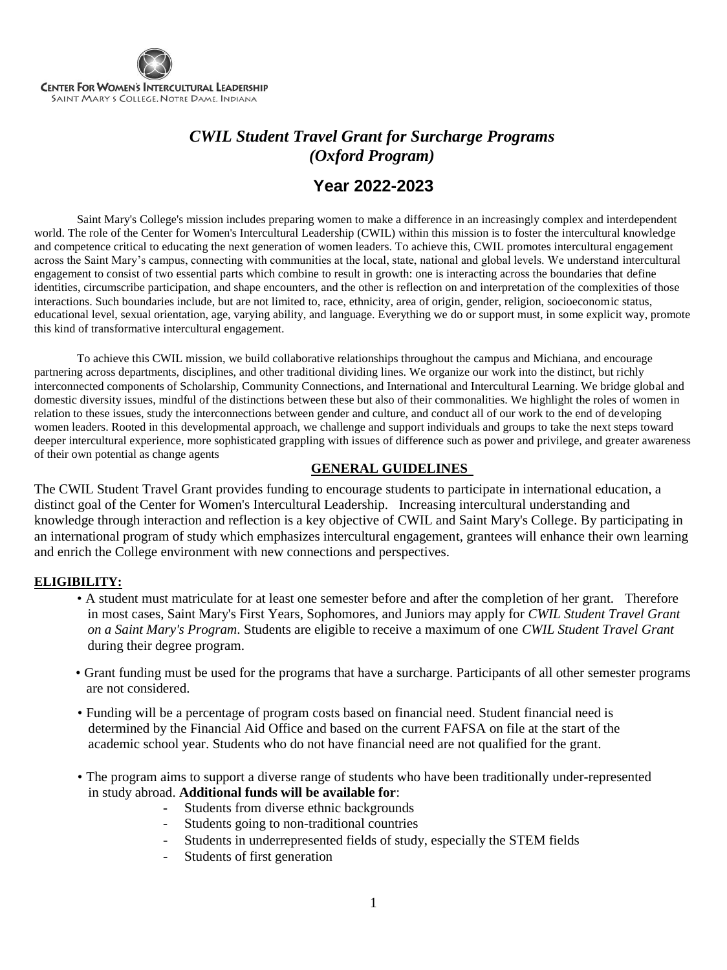

## *CWIL Student Travel Grant for Surcharge Programs (Oxford Program)*

## **Year 2022-2023**

Saint Mary's College's mission includes preparing women to make a difference in an increasingly complex and interdependent world. The role of the Center for Women's Intercultural Leadership (CWIL) within this mission is to foster the intercultural knowledge and competence critical to educating the next generation of women leaders. To achieve this, CWIL promotes intercultural engagement across the Saint Mary's campus, connecting with communities at the local, state, national and global levels. We understand intercultural engagement to consist of two essential parts which combine to result in growth: one is interacting across the boundaries that define identities, circumscribe participation, and shape encounters, and the other is reflection on and interpretation of the complexities of those interactions. Such boundaries include, but are not limited to, race, ethnicity, area of origin, gender, religion, socioeconomic status, educational level, sexual orientation, age, varying ability, and language. Everything we do or support must, in some explicit way, promote this kind of transformative intercultural engagement.

To achieve this CWIL mission, we build collaborative relationships throughout the campus and Michiana, and encourage partnering across departments, disciplines, and other traditional dividing lines. We organize our work into the distinct, but richly interconnected components of Scholarship, Community Connections, and International and Intercultural Learning. We bridge global and domestic diversity issues, mindful of the distinctions between these but also of their commonalities. We highlight the roles of women in relation to these issues, study the interconnections between gender and culture, and conduct all of our work to the end of developing women leaders. Rooted in this developmental approach, we challenge and support individuals and groups to take the next steps toward deeper intercultural experience, more sophisticated grappling with issues of difference such as power and privilege, and greater awareness of their own potential as change agents

### **GENERAL GUIDELINES**

The CWIL Student Travel Grant provides funding to encourage students to participate in international education, a distinct goal of the Center for Women's Intercultural Leadership. Increasing intercultural understanding and knowledge through interaction and reflection is a key objective of CWIL and Saint Mary's College. By participating in an international program of study which emphasizes intercultural engagement, grantees will enhance their own learning and enrich the College environment with new connections and perspectives.

#### **ELIGIBILITY:**

- A student must matriculate for at least one semester before and after the completion of her grant. Therefore in most cases, Saint Mary's First Years, Sophomores, and Juniors may apply for *CWIL Student Travel Grant on a Saint Mary's Program*. Students are eligible to receive a maximum of one *CWIL Student Travel Grant* during their degree program.
- Grant funding must be used for the programs that have a surcharge. Participants of all other semester programs are not considered.
- Funding will be a percentage of program costs based on financial need. Student financial need is determined by the Financial Aid Office and based on the current FAFSA on file at the start of the academic school year. Students who do not have financial need are not qualified for the grant.
- The program aims to support a diverse range of students who have been traditionally under-represented in study abroad. **Additional funds will be available for**:
	- Students from diverse ethnic backgrounds
	- Students going to non-traditional countries
	- Students in underrepresented fields of study, especially the STEM fields
	- Students of first generation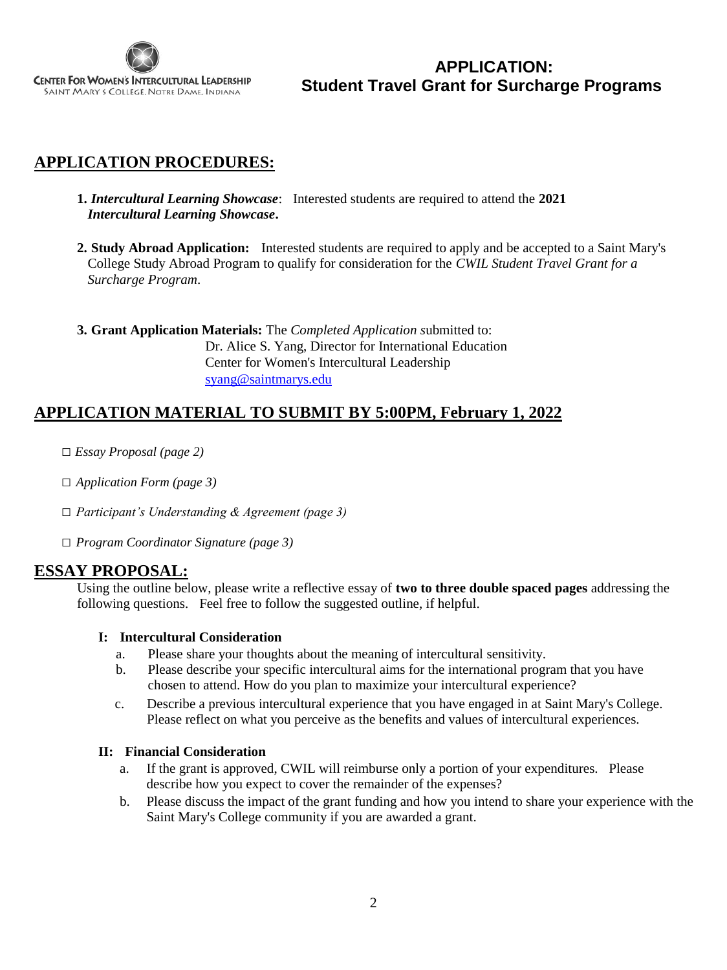

**APPLICATION: Student Travel Grant for Surcharge Programs** 

## **APPLICATION PROCEDURES:**

**1.** *Intercultural Learning Showcase*: Interested students are required to attend the **2021**  *Intercultural Learning Showcase***.** 

**2. Study Abroad Application:** Interested students are required to apply and be accepted to a Saint Mary's College Study Abroad Program to qualify for consideration for the *CWIL Student Travel Grant for a Surcharge Program*.

**3. Grant Application Materials:** The *Completed Application s*ubmitted to: Dr. Alice S. Yang, Director for International Education Center for Women's Intercultural Leadership [syang@saintmarys.edu](mailto:syang@saintmarys.edu)

### **APPLICATION MATERIAL TO SUBMIT BY 5:00PM, February 1, 2022**

- □ *Essay Proposal (page 2)*
- □ *Application Form (page 3)*
- □ *Participant's Understanding & Agreement (page 3)*
- □ *Program Coordinator Signature (page 3)*

### **ESSAY PROPOSAL:**

Using the outline below, please write a reflective essay of **two to three double spaced pages** addressing the following questions. Feel free to follow the suggested outline, if helpful.

### **I: Intercultural Consideration**

- a. Please share your thoughts about the meaning of intercultural sensitivity.
- b. Please describe your specific intercultural aims for the international program that you have chosen to attend. How do you plan to maximize your intercultural experience?
- c. Describe a previous intercultural experience that you have engaged in at Saint Mary's College. Please reflect on what you perceive as the benefits and values of intercultural experiences.

#### **II: Financial Consideration**

- a. If the grant is approved, CWIL will reimburse only a portion of your expenditures. Please describe how you expect to cover the remainder of the expenses?
- b. Please discuss the impact of the grant funding and how you intend to share your experience with the Saint Mary's College community if you are awarded a grant.